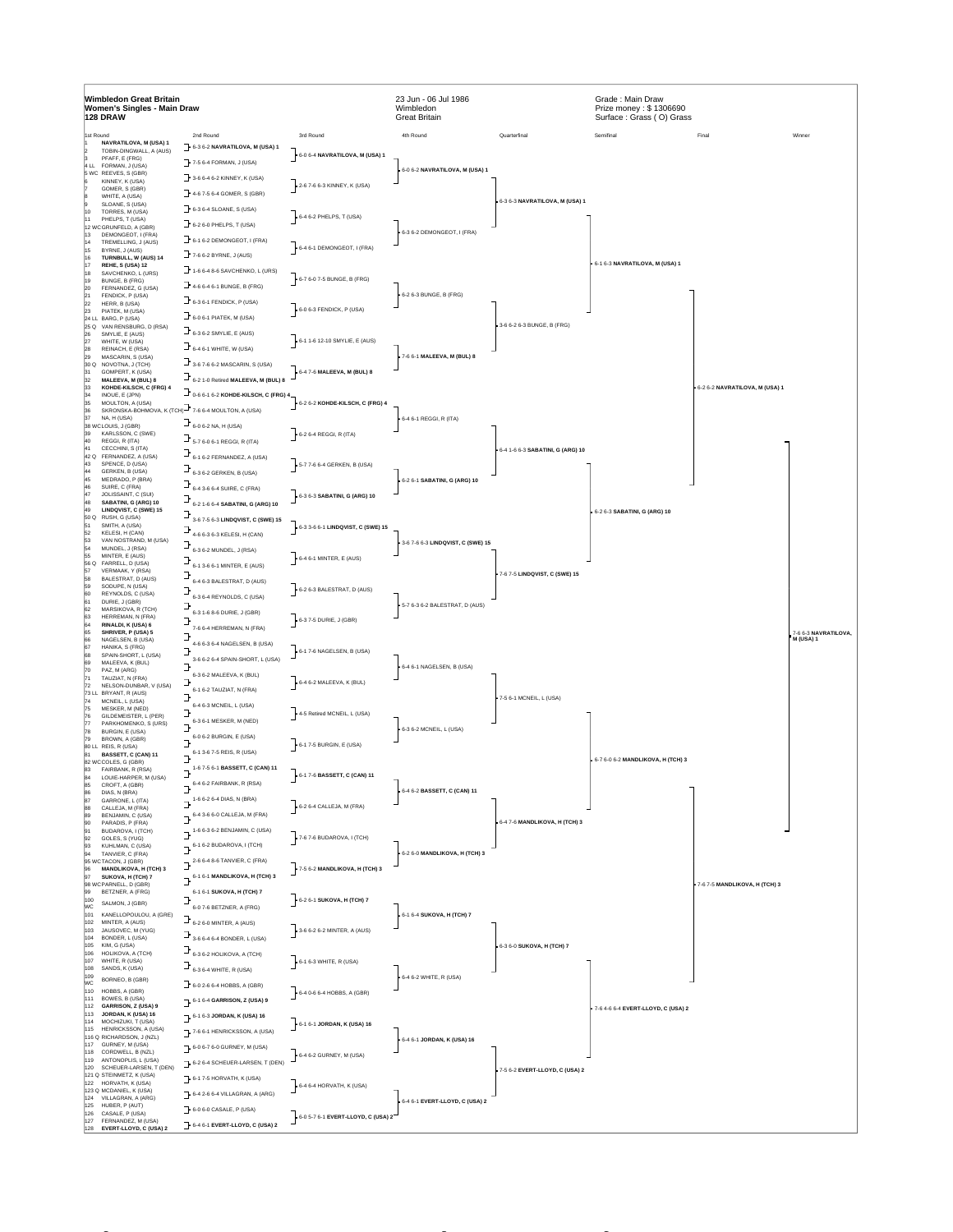| Wimbledon Great Britain<br>Women's Singles - Main Draw<br>128 DRAW |                                                         |                                                                                                                     |                                    | 23 Jun - 06 Jul 1986<br>Wimbledon<br><b>Great Britain</b> |                                  | Grade: Main Draw<br>Prize money: \$1306690<br>Surface: Grass (O) Grass |                                |                                   |
|--------------------------------------------------------------------|---------------------------------------------------------|---------------------------------------------------------------------------------------------------------------------|------------------------------------|-----------------------------------------------------------|----------------------------------|------------------------------------------------------------------------|--------------------------------|-----------------------------------|
| 1st Round                                                          |                                                         | 2nd Round                                                                                                           | 3rd Round                          | 4th Round                                                 | Quarterfinal                     | Semifinal                                                              | Final                          | Winner                            |
|                                                                    | NAVRATILOVA, M (USA) 1<br>TOBIN-DINGWALL, A (AUS)       | 6-3 6-2 NAVRATILOVA, M (USA) 1                                                                                      |                                    |                                                           |                                  |                                                                        |                                |                                   |
|                                                                    | PFAFF, E (FRG)<br>ILL FORMAN, J (USA)                   | 7-5 6-4 FORMAN, J (USA)                                                                                             | 6-0 6-4 NAVRATILOVA, M (USA) 1     |                                                           |                                  |                                                                        |                                |                                   |
|                                                                    | 5 WC REEVES, S (GBR)                                    | 3-6 6-4 6-2 KINNEY, K (USA)                                                                                         |                                    | 6-0 6-2 NAVRATILOVA, M (USA) 1                            |                                  |                                                                        |                                |                                   |
|                                                                    | KINNEY, K (USA)<br>GOMER, S (GBR)                       |                                                                                                                     | 2-6 7-6 6-3 KINNEY, K (USA)        |                                                           |                                  |                                                                        |                                |                                   |
|                                                                    | WHITE, A (USA)                                          | $-4.67 - 56 - 4 GOMER, S (GBR)$                                                                                     |                                    |                                                           | 6-3 6-3 NAVRATILOVA, M (USA) 1   |                                                                        |                                |                                   |
|                                                                    | SLOANE, S (USA)<br>TORRES, M (USA)                      | $\rightarrow$ 6-3 6-4 SLOANE, S (USA)                                                                               |                                    |                                                           |                                  |                                                                        |                                |                                   |
|                                                                    | PHELPS, T (USA)<br>12 WCGRUNFELD, A (GBR)               | $\exists$ 6-2 6-0 PHELPS, T (USA)                                                                                   | 6-4 6-2 PHELPS, T (USA)            |                                                           |                                  |                                                                        |                                |                                   |
|                                                                    | DEMONGEOT, I (FRA)                                      | $\overline{\phantom{a}}$ 6-1 6-2 DEMONGEOT, I (FRA)                                                                 |                                    | 6-3 6-2 DEMONGEOT, I (FRA)                                |                                  |                                                                        |                                |                                   |
|                                                                    | TREMELLING, J (AUS)<br>BYRNE, J (AUS)                   |                                                                                                                     | 6-4 6-1 DEMONGEOT, I (FRA)         |                                                           |                                  |                                                                        |                                |                                   |
|                                                                    | TURNBULL, W (AUS) 14<br>REHE, S (USA) 12                | $766-2$ BYRNE, J (AUS)                                                                                              |                                    |                                                           |                                  | 6-1 6-3 NAVRATILOVA, M (USA) 1                                         |                                |                                   |
|                                                                    | SAVCHENKO, L (URS)                                      | $\exists$ 1-6 6-4 8-6 SAVCHENKO, L (URS)                                                                            |                                    |                                                           |                                  |                                                                        |                                |                                   |
|                                                                    | BUNGE, B (FRG)<br>FERNANDEZ, G (USA)                    | $\exists$ 4-6 6-4 6-1 BUNGE, B (FRG)                                                                                | 6-7 6-0 7-5 BUNGE, B (FRG)         |                                                           |                                  |                                                                        |                                |                                   |
|                                                                    | FENDICK, P (USA)                                        | $F_{6-3,6-1}$ FENDICK, P (USA)                                                                                      |                                    | 6-2 6-3 BUNGE, B (FRG)                                    |                                  |                                                                        |                                |                                   |
|                                                                    | HERR, B (USA)<br>PIATEK, M (USA)                        |                                                                                                                     | 6-0 6-3 FENDICK, P (USA)           |                                                           |                                  |                                                                        |                                |                                   |
| 25 Q                                                               | 24 LL BARG, P (USA)<br>VAN RENSBURG, D (RSA)            | $\exists$ 6-0 6-1 PIATEK, M (USA)                                                                                   |                                    |                                                           | 3-6 6-2 6-3 BUNGE, B (FRG)       |                                                                        |                                |                                   |
| 26                                                                 | SMYLIE, E (AUS)                                         | $\exists$ 6-3 6-2 SMYLIE, E (AUS)                                                                                   |                                    |                                                           |                                  |                                                                        |                                |                                   |
|                                                                    | WHITE, W (USA)<br>REINACH, E (RSA)                      | $\exists$ 6-4 6-1 WHITE, W (USA)                                                                                    | 6-1 1-6 12-10 SMYLIE, E (AUS)      |                                                           |                                  |                                                                        |                                |                                   |
| 30 Q                                                               | MASCARIN, S (USA)<br>NOVOTNA, J (TCH)                   | $\exists$ 3-6 7-6 6-2 MASCARIN, S (USA)                                                                             |                                    | 7-6 6-1 MALEEVA, M (BUL) 8                                |                                  |                                                                        |                                |                                   |
|                                                                    | GOMPERT, K (USA)                                        |                                                                                                                     | 6-4 7-6 MALEEVA, M (BUL) 8         |                                                           |                                  |                                                                        |                                |                                   |
|                                                                    | MALEEVA, M (BUL) 8<br>KOHDE-KILSCH, C (FRG) 4           | $\mathbf{J}_{6-2}$ 1-0 Retired MALEEVA, M (BUL) 8                                                                   |                                    |                                                           |                                  |                                                                        | 6-2 6-2 NAVRATILOVA, M (USA) 1 |                                   |
|                                                                    | INOUE. E (JPN)<br>MOULTON, A (USA)                      | $\mathbf{F}_{\text{0-6.6-1.6-2}}$ KOHDE-KILSCH, C (FRG) 4                                                           |                                    |                                                           |                                  |                                                                        |                                |                                   |
|                                                                    | SKRONSKA-BOHMOVA, K (TCH)-7-6 6-4 MOULTON, A (USA)      |                                                                                                                     | 6-2 6-2 KOHDE-KILSCH, C (FRG) 4    |                                                           |                                  |                                                                        |                                |                                   |
| 37                                                                 | NA, H (USA)<br>38 WCLOUIS, J (GBR)                      | $\frac{1}{2}$ 6-0 6-2 NA, H (USA)                                                                                   |                                    | 6-4 6-1 REGGI, R (ITA)                                    |                                  |                                                                        |                                |                                   |
|                                                                    | KARLSSON, C (SWE)                                       |                                                                                                                     | 6-2 6-4 REGGI, R (ITA)             |                                                           |                                  |                                                                        |                                |                                   |
|                                                                    | REGGI, R (ITA)<br>CECCHINI, S (ITA)                     | $\frac{1}{2}$ 5-7 6-0 6-1 REGGI, R (ITA)                                                                            |                                    |                                                           | 6-4 1-6 6-3 SABATINI, G (ARG) 10 |                                                                        |                                |                                   |
| 42 Q                                                               | FERNANDEZ, A (USA)                                      | $\exists$ 6-1 6-2 FERNANDEZ, A (USA)                                                                                |                                    |                                                           |                                  |                                                                        |                                |                                   |
|                                                                    | SPENCE, D (USA)<br>GERKEN, B (USA)                      | J,<br>6-3 6-2 GERKEN, B (USA)                                                                                       | 5-7 7-6 6-4 GERKEN, B (USA)        |                                                           |                                  |                                                                        |                                |                                   |
| 45                                                                 | MEDRADO, P (BRA)<br>SUIRE, C (FRA)                      | $\exists$ 6-4 3-6 6-4 SUIRE, C (FRA)                                                                                |                                    | 6-2 6-1 SABATINI, G (ARG) 10                              |                                  |                                                                        |                                |                                   |
|                                                                    | JOLISSAINT, C (SUI)                                     |                                                                                                                     | 6-3 6-3 SABATINI, G (ARG) 10       |                                                           |                                  |                                                                        |                                |                                   |
|                                                                    | SABATINI, G (ARG) 10<br>LINDQVIST, C (SWE) 15           | J,<br>6-2 1-6 6-4 SABATINI, G (ARG) 10                                                                              |                                    |                                                           |                                  | 6-2 6-3 SABATINI, G (ARG) 10                                           |                                |                                   |
| 50 Q                                                               | RUSH, G (USA)                                           | 3-6 7-5 6-3 LINDQVIST, C (SWE) 15                                                                                   |                                    |                                                           |                                  |                                                                        |                                |                                   |
|                                                                    | SMITH, A (USA)<br>KELESI, H (CAN)                       | ⅎ<br>4-6 6-3 6-3 KELESI, H (CAN)                                                                                    | 6-3 3-6 6-1 LINDQVIST, C (SWE) 15  |                                                           |                                  |                                                                        |                                |                                   |
|                                                                    | VAN NOSTRAND, M (USA)<br>MUNDEL, J (RSA)                |                                                                                                                     |                                    | 3-6 7-6 6-3 LINDQVIST, C (SWE) 15                         |                                  |                                                                        |                                |                                   |
|                                                                    | MINTER, E (AUS)                                         | 6-3 6-2 MUNDEL, J (RSA)                                                                                             | 6-4 6-1 MINTER, E (AUS)            |                                                           |                                  |                                                                        |                                |                                   |
| 56 Q                                                               | FARRELL, D (USA)<br>VERMAAK, Y (RSA)                    | 6-1 3-6 6-1 MINTER, E (AUS)                                                                                         |                                    |                                                           | 7-6 7-5 LINDQVIST, C (SWE) 15    |                                                                        |                                |                                   |
|                                                                    | BALESTRAT, D (AUS)<br>SODUPE, N (USA)                   | 6-4 6-3 BALESTRAT, D (AUS)                                                                                          |                                    |                                                           |                                  |                                                                        |                                |                                   |
|                                                                    | REYNOLDS, C (USA)                                       | 6-3 6-4 REYNOLDS, C (USA)                                                                                           | 6-2 6-3 BALESTRAT, D (AUS)         |                                                           |                                  |                                                                        |                                |                                   |
|                                                                    | DURIE, J (GBR)<br>MARSIKOVA, R (TCH)                    |                                                                                                                     |                                    | 5-7 6-3 6-2 BALESTRAT, D (AUS)                            |                                  |                                                                        |                                |                                   |
|                                                                    | HERREMAN, N (FRA)                                       | 6-3 1-6 8-6 DURIE, J (GBR)                                                                                          | 6-3 7-5 DURIE, J (GBR)             |                                                           |                                  |                                                                        |                                |                                   |
|                                                                    | RINALDI, K (USA) 6<br>SHRIVER, P (USA) 5                | 7-6 6-4 HERREMAN, N (FRA)                                                                                           |                                    |                                                           |                                  |                                                                        |                                | 7-6 6-3 NAVRATILOVA,<br>M (USA) 1 |
|                                                                    | NAGELSEN, B (USA)<br>HANIKA, S (FRG)                    | 4-6 6-3 6-4 NAGELSEN, B (USA)                                                                                       |                                    |                                                           |                                  |                                                                        |                                |                                   |
|                                                                    | SPAIN-SHORT, L (USA)                                    | ٦<br>3-6 6-2 6-4 SPAIN-SHORT, L (USA)                                                                               | 6-1 7-6 NAGELSEN, B (USA)          |                                                           |                                  |                                                                        |                                |                                   |
|                                                                    | MALEEVA, K (BUL)<br>PAZ. M (ARG)                        |                                                                                                                     |                                    | 6-4 6-1 NAGELSEN, B (USA)                                 |                                  |                                                                        |                                |                                   |
|                                                                    | TAUZIAT, N (FRA)<br>NELSON-DUNBAR, V (USA)              | 6-3 6-2 MALEEVA, K (BUL)<br>э                                                                                       | 6-4 6-2 MALEEVA, K (BUL)           |                                                           |                                  |                                                                        |                                |                                   |
|                                                                    | 73 LL BRYANT, R (AUS)                                   | 6-1 6-2 TAUZIAT, N (FRA)                                                                                            |                                    |                                                           | 7-5 6-1 MCNEIL, L (USA)          |                                                                        |                                |                                   |
|                                                                    | MCNEIL, L (USA)<br>MESKER, M (NED)                      | 6-4 6-3 MCNEIL, L (USA)                                                                                             |                                    |                                                           |                                  |                                                                        |                                |                                   |
|                                                                    | GILDEMEISTER, L (PER)                                   | 6-3 6-1 MESKER, M (NED)                                                                                             | 4-5 Retired MCNEIL, L (USA)        |                                                           |                                  |                                                                        |                                |                                   |
|                                                                    | PARKHOMENKO, S (URS)<br>BURGIN, E (USA)                 | 7                                                                                                                   |                                    | 6-3 6-2 MCNEIL, L (USA)                                   |                                  |                                                                        |                                |                                   |
|                                                                    | BROWN, A (GBR)<br>80 LL REIS, R (USA)                   | 6-0 6-2 BURGIN, E (USA)                                                                                             | 6-1 7-5 BURGIN, E (USA)            |                                                           |                                  |                                                                        |                                |                                   |
|                                                                    | <b>BASSETT, C (CAN) 11</b>                              | 6-1 3-6 7-5 REIS, R (USA)<br>ŀ                                                                                      |                                    |                                                           |                                  |                                                                        |                                |                                   |
|                                                                    | 82 WCCOLES, G (GBR)<br>FAIRBANK, R (RSA)                | 1-6 7-5 6-1 BASSETT, C (CAN) 11                                                                                     |                                    |                                                           |                                  | 6-7 6-0 6-2 MANDLIKOVA, H (TCH) 3                                      |                                |                                   |
|                                                                    | LOUIE-HARPER, M (USA)                                   | Ь<br>6-4 6-2 FAIRBANK, R (RSA)                                                                                      | 6-1 7-6 BASSETT, C (CAN) 11        |                                                           |                                  |                                                                        |                                |                                   |
|                                                                    | CROFT, A (GBR)<br>DIAS, N (BRA)                         | ŀ                                                                                                                   |                                    | 6-4 6-2 BASSETT, C (CAN) 11                               |                                  |                                                                        |                                |                                   |
| 88                                                                 | GARRONE, L (ITA)<br>CALLEJA, M (FRA)                    | $\mathbb{L}^{1-6.6-2.6-4. DIAS, N. (BRA)}$                                                                          | 6-2 6-4 CALLEJA, M (FRA)           |                                                           |                                  |                                                                        |                                |                                   |
|                                                                    | BENJAMIN, C (USA)                                       | $\overline{\mathbf{J}}$ 6-4 3-6 6-0 CALLEJA, M (FRA)                                                                |                                    |                                                           |                                  |                                                                        |                                |                                   |
|                                                                    | PARADIS, P (FRA)<br>BUDAROVA, I (TCH)                   | $\rightarrow$ <sup>1-6 6-3 6-2 BENJAMIN, C (USA)</sup>                                                              |                                    |                                                           | 6-4 7-6 MANDLIKOVA, H (TCH) 3    |                                                                        |                                |                                   |
| 92<br>93                                                           | GOLES, S (YUG)<br>KUHLMAN, C (USA)                      | $J^{6-1.6-2$ BUDAROVA, I (TCH)                                                                                      | 7-6 7-6 BUDAROVA, I (TCH)          |                                                           |                                  |                                                                        |                                |                                   |
| 94                                                                 | TANVIER, C (FRA)                                        |                                                                                                                     |                                    | 6-2 6-0 MANDLIKOVA, H (TCH) 3                             |                                  |                                                                        |                                |                                   |
| 96                                                                 | 95 WCTACON, J (GBR)<br><b>MANDLIKOVA, H (TCH) 3</b>     | $\mathbb{B}^{2\textrm{-}6\textrm{-}6\textrm{-}4\textrm{-}8\textrm{-}6\textrm{-}7\textrm{ANVIER}, \textrm{C (FRA)}}$ | 7-5 6-2 MANDLIKOVA, H (TCH) 3      |                                                           |                                  |                                                                        |                                |                                   |
| 97                                                                 | SUKOVA, H (TCH) 7                                       | $J^{6-1.6-1.$ MANDLIKOVA, H (TCH) 3                                                                                 |                                    |                                                           |                                  |                                                                        |                                |                                   |
| 99                                                                 | 98 WCPARNELL, D (GBR)<br>BETZNER, A (FRG)               | 6-1 6-1 SUKOVA, H (TCH) 7                                                                                           |                                    |                                                           |                                  |                                                                        | 7-6 7-5 MANDLIKOVA, H (TCH) 3  |                                   |
| 100<br>WC                                                          | SALMON, J (GBR)                                         | э<br>6-0 7-6 BETZNER, A (FRG)                                                                                       | 6-2 6-1 SUKOVA, H (TCH) 7          |                                                           |                                  |                                                                        |                                |                                   |
| 101                                                                | KANELLOPOULOU, A (GRE)                                  |                                                                                                                     |                                    | 6-1 6-4 SUKOVA, H (TCH) 7                                 |                                  |                                                                        |                                |                                   |
| 102<br>103                                                         | MINTER, A (AUS)<br>JAUSOVEC, M (YUG)                    | $\mathbf{F}_{\mathbf{6}\text{-}2\,\mathbf{6}\text{-}0\,\text{MINTER, A (AUS)}}$                                     | 3-6 6-2 6-2 MINTER, A (AUS)        |                                                           |                                  |                                                                        |                                |                                   |
| 104<br>105                                                         | BONDER, L (USA)<br>KIM, G (USA)                         | $\mathbb{B}_{3\cdot 6 \cdot 6 \cdot 4 \cdot 6 \cdot 4 \cdot BONDER, L (USA)}$                                       |                                    |                                                           |                                  |                                                                        |                                |                                   |
| 106                                                                | HOLIKOVA, A (TCH)                                       | $\mathbf{F}_{6\text{-}3\text{-}6\text{-}2\text{-HOLIKOVA},\text{A (TCH)}}$                                          |                                    |                                                           | 6-3 6-0 SUKOVA, H (TCH) 7        |                                                                        |                                |                                   |
| 107<br>108                                                         | WHITE, R (USA)<br>SANDS, K (USA)                        | $\mathbf{I}_{6\text{-}3\,6\text{-}4\,\text{WHITE},\,\text{R (USA)}}$                                                | 6-1 6-3 WHITE, R (USA)             |                                                           |                                  |                                                                        |                                |                                   |
| 109<br>WČ                                                          | BORNEO, B (GBR)                                         |                                                                                                                     |                                    | 6-4 6-2 WHITE, R (USA)                                    |                                  |                                                                        |                                |                                   |
| 110                                                                | HOBBS, A (GBR)                                          | $\Box$ 6-0 2-6 6-4 HOBBS, A (GBR)                                                                                   | 6-4 0-6 6-4 HOBBS, A (GBR)         |                                                           |                                  |                                                                        |                                |                                   |
| 111                                                                | BOWES, B (USA)<br>112 GARRISON, Z (USA) 9               | 6-1 6-4 GARRISON, Z (USA) 9                                                                                         |                                    |                                                           |                                  |                                                                        |                                |                                   |
| 113                                                                | JORDAN, K (USA) 16                                      | 6-1 6-3 JORDAN, K (USA) 16                                                                                          |                                    |                                                           |                                  | 7-6 4-6 6-4 EVERT-LLOYD, C (USA) 2                                     |                                |                                   |
| 114                                                                | MOCHIZUKI, T (USA)<br>115 HENRICKSSON, A (USA)          |                                                                                                                     | 6-1 6-1 JORDAN, K (USA) 16         |                                                           |                                  |                                                                        |                                |                                   |
|                                                                    | 116 Q RICHARDSON, J (NZL)                               | 7-6 6-1 HENRICKSSON, A (USA)                                                                                        |                                    | 6-4 6-1 JORDAN, K (USA) 16                                |                                  |                                                                        |                                |                                   |
|                                                                    | 117 GURNEY, M (USA)<br>118 CORDWELL, B (NZL)            | 6-0 6-7 6-0 GURNEY, M (USA)                                                                                         |                                    |                                                           |                                  |                                                                        |                                |                                   |
|                                                                    | 119 ANTONOPLIS, L (USA)                                 | $\rightarrow$ 6-2 6-4 SCHEUER-LARSEN, T (DEN)                                                                       | 6-4 6-2 GURNEY, M (USA)            |                                                           |                                  |                                                                        |                                |                                   |
|                                                                    | 120 SCHEUER-LARSEN, T (DEN)<br>121 Q STEINMETZ, K (USA) | $\rightarrow$ 6-1 7-5 HORVATH, K (USA)                                                                              |                                    |                                                           | 7-5 6-2 EVERT-LLOYD, C (USA) 2   |                                                                        |                                |                                   |
|                                                                    | 122 HORVATH, K (USA)<br>123 Q MCDANIEL, K (USA)         |                                                                                                                     | 6-4 6-4 HORVATH, K (USA)           |                                                           |                                  |                                                                        |                                |                                   |
| 125                                                                | 124 VILLAGRAN, A (ARG)<br>HUBER, P (AUT)                | $\rightarrow$ 6-4 2-6 6-4 VILLAGRAN, A (ARG)                                                                        |                                    | 6-4 6-1 EVERT-LLOYD, C (USA) 2                            |                                  |                                                                        |                                |                                   |
|                                                                    | 126 CASALE, P (USA)                                     | 6-0 6-0 CASALE, P (USA)                                                                                             | 6-0 5-7 6-1 EVERT-LLOYD, C (USA) 2 |                                                           |                                  |                                                                        |                                |                                   |
|                                                                    | 127 FERNANDEZ, M (USA)<br>128 EVERT-LLOYD, C (USA) 2    | 6-4 6-1 EVERT-LLOYD, C (USA) 2                                                                                      |                                    |                                                           |                                  |                                                                        |                                |                                   |

http://www.itftennis.com/womens/tournaments/printabledrawsheet.asp?tournament=10200... 8/19/2010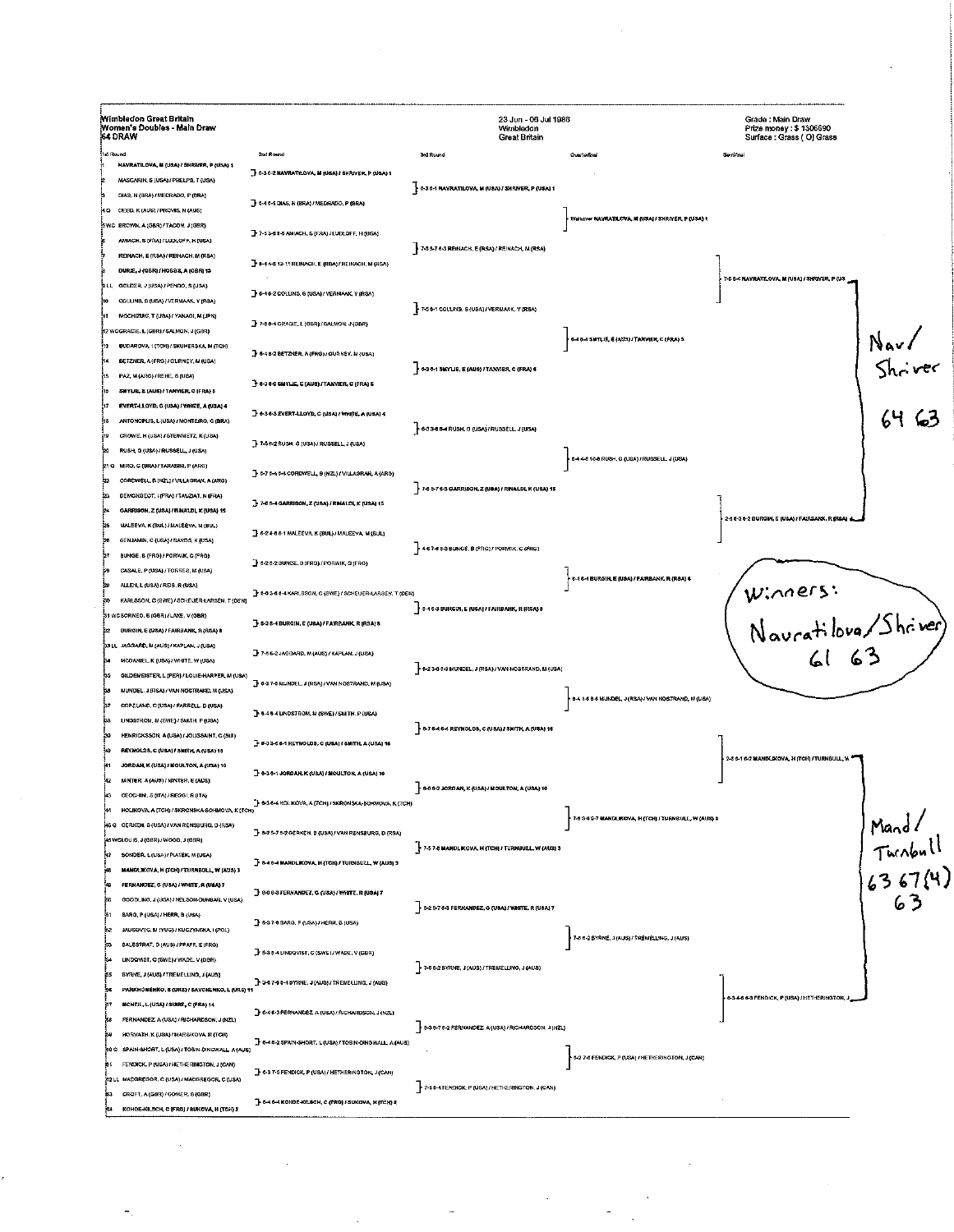| Wimbledon Great Britain<br>Women's Doubles - Main Draw<br>64 DRAW                  |                                                                 | 23 Jun - 06 Jul 1986<br>Wimbledon<br>Creat Britain               |                                                      | Grade : Main Draw<br>Prize money: \$1306690<br>Surface: Grass (O) Grass |                                                                                 |
|------------------------------------------------------------------------------------|-----------------------------------------------------------------|------------------------------------------------------------------|------------------------------------------------------|-------------------------------------------------------------------------|---------------------------------------------------------------------------------|
| <b>Hd Round</b>                                                                    | 2nd Round                                                       | <b>3rd Round</b>                                                 | Quarterfinal                                         | Semifine                                                                |                                                                                 |
| HAVRATILOVA, M (USA) / SHRIVER, P (USA) \$                                         | - 6-36-2 NAVRATILOVA, M (USA) / SHRIVER, P (USA) 1              |                                                                  |                                                      |                                                                         |                                                                                 |
| MASCARIN, S (USA) / PHELPS, T (USA)                                                |                                                                 | 6-36-1 NAVRATILOVA, M (USA) / SHRIVER, P (USA) 1                 |                                                      |                                                                         |                                                                                 |
| DIAS, N (BRA) / MEORADO, P (BRA)                                                   | 3 6-4 6-1 DIAS, N (BRA) / MEDRADO, P (BRA)                      |                                                                  |                                                      |                                                                         |                                                                                 |
| ∲4 Ω DEED, K (AUS) / PROVIS, N (AUS)                                               |                                                                 |                                                                  | Walkovie NAVRATILOVA, N (USA) / SHRIVER, P (USA) 1   |                                                                         |                                                                                 |
| SWC BROWN A (GBR) / TACON. J (GBR)                                                 | 7-7-53-61-6 AMIACH, S (FRA) / LUDLOFF, H (USA)                  |                                                                  |                                                      |                                                                         |                                                                                 |
| AMACH, S (FRA) / LUDLOFF, H (USA)                                                  |                                                                 | 7-8 5-7 6-3 REINACH, E (RSA) / REINACH, M (RSA)                  |                                                      |                                                                         |                                                                                 |
| REINACH, E (RSA) / REINACH, M (RSA)                                                | T 6-4 4-5 13-11 REINACH, E (RSA) / REINACH, M (RSA)             |                                                                  |                                                      |                                                                         |                                                                                 |
| DURIE, J (GBR) / HOBBS, A (GBR) 13                                                 |                                                                 |                                                                  |                                                      | , 7-5 6-4 NAVRATILOVA, M (USA) / SHRIVER, P (US                         |                                                                                 |
| LL GOLDER, J (USA) / PENDO, S (USA)                                                | - 6-46-2 COLUNS, 8 (USA) / VERMAAK, Y (RSA)                     |                                                                  |                                                      |                                                                         |                                                                                 |
| COLLINS, S (USA) / VERMAAK, Y (RSA)                                                |                                                                 | 7-56-1 COLLINS, S (USA) / VERMAAK, Y (RSA)                       |                                                      |                                                                         |                                                                                 |
| MOCHIZUKI, T (USA) / YANAGI, M (JPN)                                               | 7-7-0-4 GRACIE, L (OBR) / SALMON, J (GBR)                       |                                                                  |                                                      |                                                                         |                                                                                 |
| 12 WCGRACIE, L (GBR) / SALMON, J (GBR)                                             |                                                                 |                                                                  | 6-4 6-4 SMYLIE, E (AUS) I TANVIER, C (FRA) S         |                                                                         | Nav/<br>Shriver<br>6463                                                         |
| BUDAROVA. 1 (TCH) / SKUMERSKA, M (TCH)                                             | + 6-4 6-2 BETZNER, A (FRG) / GURNEY, M (USA)                    |                                                                  |                                                      |                                                                         |                                                                                 |
| BETZNER, A (FRG) / GURNEY, M (USA)                                                 |                                                                 | $\cdot$ 6-3 8-1 SWYLIE, E (AUS) / TANWIER, C (FRA) 6             |                                                      |                                                                         |                                                                                 |
| PAZ, M (ARG) / REHE, S (USA)                                                       | <b>F 6-3 6-0 SMYLIE, E (AUS) / TANVIER, C (FRA) 5</b>           |                                                                  |                                                      |                                                                         |                                                                                 |
| SMYLIE, E (AUS) / TANVIER, C (FRA) 5                                               |                                                                 |                                                                  |                                                      |                                                                         |                                                                                 |
| EVERT-LLOYD, C (USA) / WHITE, A (USA) 4<br>ANTONOPLIS, L (USA) / MONTEIRO, C (BRA) | - 6-3 6-3 EVERT-LLOYD, C (USA) / WHITE, A (USA) 4               |                                                                  |                                                      |                                                                         |                                                                                 |
|                                                                                    |                                                                 | 633454 RUSK G (USA)/ RUSSELL J (USA)                             |                                                      |                                                                         |                                                                                 |
| CROWE, H (USA) / STEINMETZ, K (USA)                                                | T-7-5 0-2 RUSH, G [USA) / RUSSELL, J (USA)                      |                                                                  |                                                      |                                                                         |                                                                                 |
| RUSH, G (USA) / RUSSELL, J (USA)<br>21 O. MIRO, G (BRA) / TARASINI, P (ARG)        |                                                                 |                                                                  | 6-44-5 10-8 RUSH, G (USA) / RUSSELL. J (USA)         |                                                                         |                                                                                 |
|                                                                                    | 3-5-7 5-4 5-4 CORDWELL, 9 (NZ.) / VILLAGRAN, A (ARG)            |                                                                  |                                                      |                                                                         |                                                                                 |
| CORDWELL, B (NZL) / VILLAGRAN, A (ARG)<br>DEMONGEOT, L(FRA) / TAUZIAT, N (FRA)     |                                                                 | 7-6 6-7 6-3 GARRISON, Z (USA) / RINALDI, K (USA) 15              |                                                      |                                                                         |                                                                                 |
| GARRISON, Z (USA) / RINALDI, X (USA) 15                                            | $\frac{1}{2}$ 7-6 6-4 GARRISON, Z (USA) / RINALDI, K (USA) 15   |                                                                  |                                                      |                                                                         |                                                                                 |
| MALEEVA, K (BUL) / MALEEVA, M (BUL)                                                |                                                                 |                                                                  |                                                      | 2-8 6-3 6-2 BURGIN, E (UBA) / FAIRBANK, R (RBA) a                       |                                                                                 |
| 6ENJAMIN, C (USA) / SANDS, K (USA)                                                 | 3 6-24-86-1 MALEEVA, K (BUL) / MALEEVA, M (BUL)                 |                                                                  |                                                      |                                                                         |                                                                                 |
| BUNGE, 6 (FRG) / PORWIK, C (FRG)                                                   |                                                                 | $\frac{1}{2}$ 467-68-3 BUNGE, B (FRG) / PORWIK, C (FRG)          |                                                      |                                                                         |                                                                                 |
| CASALE, P (USA) / TORRES, M (USA)                                                  | + 6-2 6-2 BUNGE, B (FRG) / PORWIK, C (FRG)                      |                                                                  |                                                      |                                                                         |                                                                                 |
| ALLEN, L (USA) / REIS, R (USA)                                                     |                                                                 |                                                                  | , 6-4 6-4 BURGIN, E (USA) / FAIRBANK, R (RSA) 6      |                                                                         |                                                                                 |
| KARLSSON, C (SWE) / SCHELER-LARSEN, T (DEN)                                        | 1 6-0 3-6 6-4 KARLSSON, G (SWE) / SCHEUER-LARSEN, T (DEN)       |                                                                  |                                                      |                                                                         |                                                                                 |
| 31 WCBORNEO, B (GBR) / LAKE, V (GBR)                                               |                                                                 | <b>DA 6-3 BURGIN, E (USA) / FAIRBANK, R (RSA) 8</b>              |                                                      | Winners:<br>Nauratiloux/Shriver)<br>61 63                               |                                                                                 |
| SURGIN, E (USA) / FAIRBANK, R (RSA) B                                              | T 6-3 6-4 BURGIN, E (USA) / FAIRBANK, R (RSA) 8                 |                                                                  |                                                      |                                                                         |                                                                                 |
| esill. Jaggard, M (aus)/Kaplan, J (usa)                                            |                                                                 |                                                                  |                                                      |                                                                         |                                                                                 |
| MCDANIEL, K (USA) / WHITE, W (USA)                                                 | $-7 - 6 - 2 - 146$ GARD, M (AUS) / KAPLAN, J (USA)              |                                                                  |                                                      |                                                                         |                                                                                 |
| GILDEMEISTER, L (PER) / LOUIE-HARPER, M (USA)                                      |                                                                 | $\rightarrow$ 6-23-6 6-3 MUNDEL, J (RSA) / VAN NOSTRAND, M (USA) |                                                      |                                                                         |                                                                                 |
| MUNDEL. J (RSA) / VAN NOSTRAND, M (USA)                                            | 3 6-3 7-6 MUNDEL, J (RSA) / VAN NOSTRAND, M (USA)               |                                                                  |                                                      |                                                                         |                                                                                 |
| COPELAND, C (USA) / FARRELL, D (USA)                                               |                                                                 |                                                                  | 8-4 1-6 8-6 MUNDEL, J (RSA) / VAN NOSTRAND, M (USA)  |                                                                         |                                                                                 |
| LINDSTROM, M (SWE) / SMITH, P (USA)                                                | B-46-4 LINDSTROM, M (SWE) / SMITH, P (USA)                      |                                                                  |                                                      |                                                                         |                                                                                 |
| HENRICKSSON, A (USA) / JOLISSAINT, C (SUI)                                         |                                                                 | $\frac{1}{2}$ 6-7 6-4 6-4 REYNOLDS, C (USA) / SMITH, A (USA) 16  |                                                      |                                                                         |                                                                                 |
| REYNOLDS, C (USA) / SMITH, A (USA) 18                                              | $\frac{1}{2}$ 6-33-6 6-1 REYNOLDS, C (USA) / SMITH, A (USA) 16  |                                                                  |                                                      |                                                                         |                                                                                 |
| JORDAN, K (USA) / MOULTON, A (USA) 10                                              |                                                                 |                                                                  |                                                      | 2-5 6-1 6-2 MANDLIKOVA, N (TCH) / TURNBULL, W                           |                                                                                 |
| MINTER, A (AUS) / MINTER, E (AUS)                                                  | $\exists$ 6-36-1 JORDAN, K (USA) / MOULTON, A (USA) 10          |                                                                  |                                                      |                                                                         |                                                                                 |
| CECCHINI, S (ITA) / REGGI, R (ITA)                                                 |                                                                 | $\sim$ 6-0 6-2 JORDAN, K (USA) / MOULTON, A (USA) 10             |                                                      |                                                                         |                                                                                 |
| HOLIKOVA, A (TCH) / SKRONSKA-BOHMOVA, K (TCH)                                      | 8-3 6-4 HOLIKOVA, A {TCH} / SKRONSKA-BOHMOVA, K {TCH}           |                                                                  |                                                      |                                                                         |                                                                                 |
| 46 Q GERKEN, B (USA) I VAN RENSBURG, D (RSA)                                       |                                                                 |                                                                  | 7-8 3-6 9-7 MANDLIKOVA, HYTCH) I TURNBULL, W (AUS) 3 |                                                                         | $\begin{array}{c} \n\text{Mand/}\n\text{Tuchoull}\n\end{array}$ (3 67 (4)<br>63 |
| 46 WCLOUIS, J{GBR)/WOOD, J{GBR}                                                    | 3 6-2 5-7 8-2 GERKEN, B (USA) / VAN RENSBURG, D (RSA)           |                                                                  |                                                      |                                                                         |                                                                                 |
| SONDER, L (USA) / PIATEK, M (USA)                                                  |                                                                 | 7-57-8 MANDLIKOVA, H (TCH) / TURNBULL, W (AUS) 3                 |                                                      |                                                                         |                                                                                 |
| MANDI, KOVA, H (YCH) / TURNBULL, W (AUS) 3                                         | $\mathbf F$ 6-4 6-4 MANDLIKOVA, H (TCK) / TURNBULL, W (AUS) 3   |                                                                  |                                                      |                                                                         |                                                                                 |
| FERNANDEZ, G (USA) / WHITE, R (USA) 7                                              | B 6-0 6-3 FERNANDEZ, G (USA) / WHITE, R (USA) 7                 |                                                                  |                                                      |                                                                         |                                                                                 |
| ×۵<br>COODLING, J (USA) / NELSON-DUNBAR, V (USA)                                   |                                                                 | 6-2 6-7 6-3 FERNANDEZ, G (USA) / WHITE, R (USA) 7                |                                                      |                                                                         |                                                                                 |
| BARG, P (USA) / HERR, B (USA)                                                      | 3 6-3 7-6 BARG, P (USA) / HERR, B (USA)                         |                                                                  |                                                      |                                                                         |                                                                                 |
| 62<br>JAUSOVEC, II (YUG) / KUCZYNSKA I (POL)                                       |                                                                 |                                                                  |                                                      |                                                                         |                                                                                 |
| BALESTRAT, D (AUS) / PFAFF, E (FRG)                                                | 1 8-3 8-4 LINDOVIST, C (SWE) / WADE, V (GBR)                    |                                                                  | 7-06-2 BYRNE, J (AUS) / TREMELLING, J (AUS)          |                                                                         |                                                                                 |
| LINDOVIST, C (SWE) / WADE, V (GBR)                                                 |                                                                 | 7-6 6-2 BYRNE, J (AUS) / TREMELLING, J (AUS)                     |                                                      |                                                                         |                                                                                 |
| BYRNE, J (AUS) / TREMELLING, J (AUS)                                               | 3-3-67-6 6-4 BYRNE, J (AUS) / TREMELLING, J (AUS)               |                                                                  |                                                      |                                                                         |                                                                                 |
| PARKHOMENKO, 5 (URS) / SAVCHENKO, L (URS) 11                                       |                                                                 |                                                                  |                                                      | 6-34-6 6-3 FENDICK, P (USA) / HETHERINGTON, J                           |                                                                                 |
| MCNEIL, L (USA) / SURE, C (FRA) 14                                                 | 3 6-4 6-3 FERNANDEZ, A (USA) / RICHARDSON, J (NZL)              |                                                                  |                                                      |                                                                         |                                                                                 |
| FERNANDEZ, A (USA) / RICHARDSON, J (NZL)                                           |                                                                 | 5-36-76-2 FERNANDEZ, A (USA) / RICHARDSON, J (NZL)               |                                                      |                                                                         |                                                                                 |
| HORVATH, K (USA) / MARSIKOVA, R (TCH)                                              | F 6-46-2 SPAIN-SHORT, L (USA) / TOBIN-DINGWALL, A (AUS)         |                                                                  |                                                      |                                                                         |                                                                                 |
| 00 G SPAN-SHORT, L(USA) / TOBIN-DINGWALL, A (AUS)                                  |                                                                 |                                                                  | 6-27-6 FENDICK, P (USA) / HETHERINGTON, J (CAN)      |                                                                         |                                                                                 |
| FENDICK, P (USA) / HETHERINGTON, 1 (CAN)                                           | 3 6-3 7-5 FENDICK, P (USA) / HETHERINGTON, J (CAN)              |                                                                  |                                                      |                                                                         |                                                                                 |
| 82 LL MACGREGOR, C (USA) / MACGREGOR, C (USA)                                      |                                                                 | 7-5 6-4 FENDICK, P (USA) / HETHERINGTON, J (CAN)                 |                                                      |                                                                         |                                                                                 |
| CROFT, A (GBR) / GOMER, S (GBR)                                                    | $\rightarrow$ 6-4 6-4 KOHOE-KILSCH, C (FRG) / SUKOVA, K (TCH) 2 |                                                                  |                                                      |                                                                         |                                                                                 |
| KOHDE KILSCH, C (FRG) / SUKOVA, H (TCH) 2                                          |                                                                 |                                                                  |                                                      |                                                                         |                                                                                 |

 $\frac{1}{2}$  ,  $\frac{1}{2}$ 

 $\frac{1}{2} \left( \frac{1}{2} \right)$ 

 $\mathcal{A}$ 

 $\frac{1}{\sigma_{\rm c}}$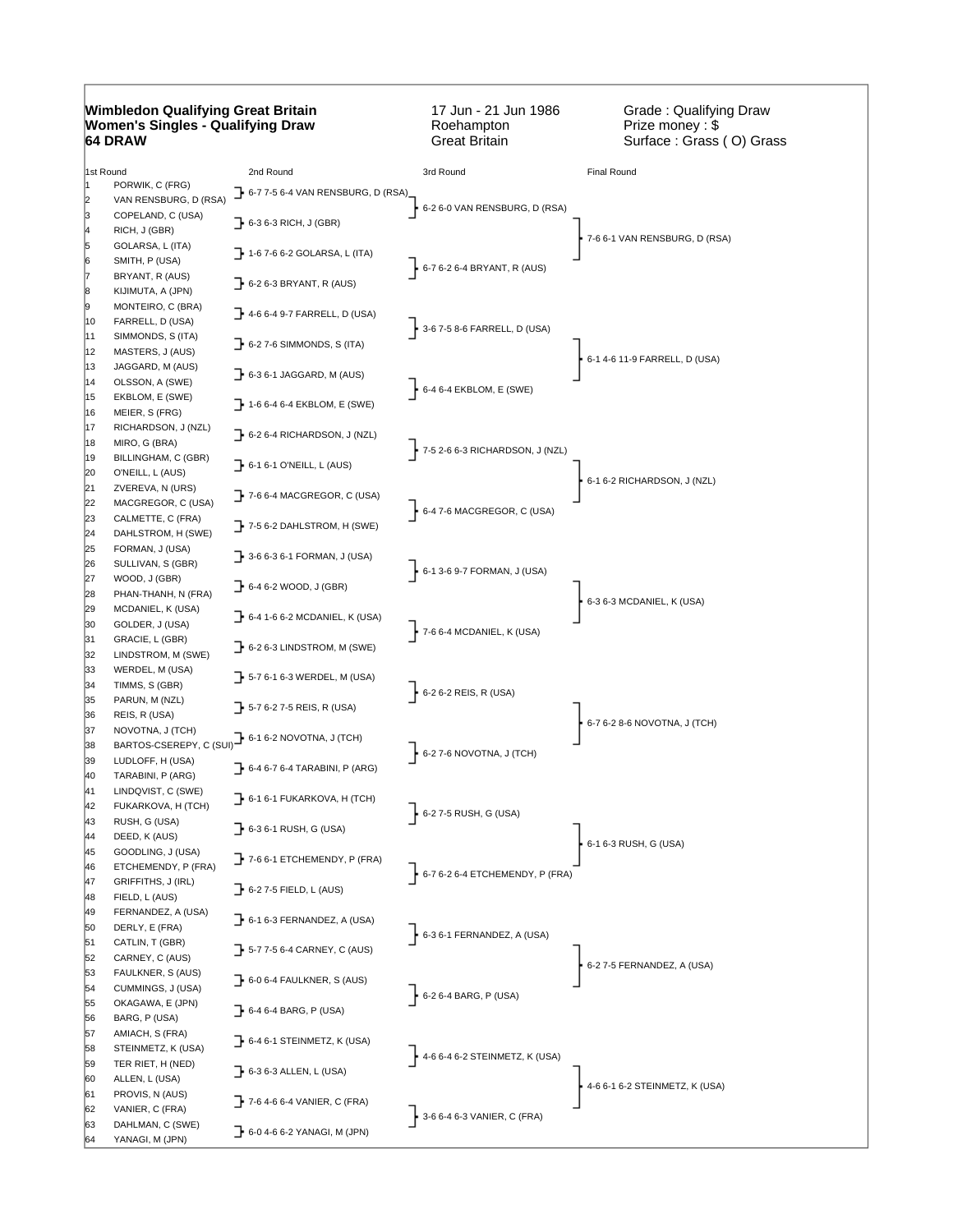## **Wimbledon Qualifying Great Britain Women's Singles - Qualifying Draw 64 DRAW**

17 Jun - 21 Jun 1986 Roehampton Great Britain

Grade : Qualifying Draw Prize money : \$ Surface : Grass ( O) Grass

| 1st Round |                                       | 2nd Round                                            | 3rd Round                                     | Final Round                    |
|-----------|---------------------------------------|------------------------------------------------------|-----------------------------------------------|--------------------------------|
|           | PORWIK, C (FRG)                       | 1 6-7 7-5 6-4 VAN RENSBURG, D (RSA)                  |                                               |                                |
| 2         | VAN RENSBURG, D (RSA)                 |                                                      | 6-2 6-0 VAN RENSBURG, D (RSA)                 |                                |
| 3         | COPELAND, C (USA)                     | $\rightarrow$ 6-3 6-3 RICH, J (GBR)                  |                                               |                                |
| 14        | RICH, J (GBR)                         |                                                      |                                               | 7-6 6-1 VAN RENSBURG, D (RSA)  |
|           | GOLARSA, L (ITA)                      | $\rightarrow$ 1-6 7-6 6-2 GOLARSA, L (ITA)           |                                               |                                |
| 6         | SMITH, P (USA)                        |                                                      | $\frac{1}{2}$ 6-7 6-2 6-4 BRYANT, R (AUS)     |                                |
| 8         | BRYANT, R (AUS)                       | $\rightarrow$ 6-2 6-3 BRYANT, R (AUS)                |                                               |                                |
| 9         | KIJIMUTA, A (JPN)                     |                                                      |                                               |                                |
| 10        | MONTEIRO, C (BRA)<br>FARRELL, D (USA) | $\rightarrow$ 4-6 6-4 9-7 FARRELL, D (USA)           |                                               |                                |
| 11        | SIMMONDS, S (ITA)                     |                                                      | $-3 - 67 - 58 - 6$ FARRELL, D (USA)           |                                |
| 12        | MASTERS, J (AUS)                      | $\rightarrow$ 6-2 7-6 SIMMONDS, S (ITA)              |                                               |                                |
| 13        | JAGGARD, M (AUS)                      |                                                      |                                               | 6-1 4-6 11-9 FARRELL, D (USA)  |
| 14        | OLSSON, A (SWE)                       | $\rightarrow$ 6-3 6-1 JAGGARD, M (AUS)               |                                               |                                |
| 15        | EKBLOM, E (SWE)                       |                                                      | $6-46-4$ EKBLOM, E (SWE)                      |                                |
| 16        | MEIER, S (FRG)                        | $\rightarrow$ 1-6 6-4 6-4 EKBLOM, E (SWE)            |                                               |                                |
| 17        | RICHARDSON, J (NZL)                   |                                                      |                                               |                                |
| 18        | MIRO, G (BRA)                         | $\rightarrow$ 6-2 6-4 RICHARDSON, J (NZL)            |                                               |                                |
| 19        | BILLINGHAM, C (GBR)                   |                                                      | $\uparrow$ 7-5 2-6 6-3 RICHARDSON, J (NZL)    |                                |
| 20        | O'NEILL, L (AUS)                      | 7 6-1 6-1 O'NEILL, L (AUS)                           |                                               |                                |
| 21        | ZVEREVA, N (URS)                      |                                                      |                                               | 6-1 6-2 RICHARDSON, J (NZL)    |
| 22        | MACGREGOR, C (USA)                    | $\rightarrow$ 7-6 6-4 MACGREGOR, C (USA)             |                                               |                                |
| 23        | CALMETTE, C (FRA)                     |                                                      | $6-47-6$ MACGREGOR, C (USA)                   |                                |
| 24        | DAHLSTROM, H (SWE)                    | $\rightarrow$ 7-5 6-2 DAHLSTROM, H (SWE)             |                                               |                                |
| 25        | FORMAN, J (USA)                       |                                                      |                                               |                                |
| 26        | SULLIVAN, S (GBR)                     | $\rightarrow$ 3-6 6-3 6-1 FORMAN, J (USA)            | 6-1 3-6 9-7 FORMAN, J (USA)                   |                                |
| 27        | WOOD, J (GBR)                         | $\rightarrow$ 6-4 6-2 WOOD, J (GBR)                  |                                               |                                |
| 28        | PHAN-THANH, N (FRA)                   |                                                      |                                               | 6-3 6-3 MCDANIEL, K (USA)      |
| 29        | MCDANIEL, K (USA)                     | $\rightarrow$ 6-4 1-6 6-2 MCDANIEL, K (USA)          |                                               |                                |
| 30        | GOLDER, J (USA)                       |                                                      | $\triangleright$ 7-6 6-4 MCDANIEL, K (USA)    |                                |
| 31        | GRACIE, L (GBR)                       | $\rightarrow$ 6-2 6-3 LINDSTROM, M (SWE)             |                                               |                                |
| 32        | LINDSTROM, M (SWE)                    |                                                      |                                               |                                |
| 33        | WERDEL, M (USA)                       | $\rightarrow$ 5-7 6-1 6-3 WERDEL, M (USA)            |                                               |                                |
| 34        | TIMMS, S (GBR)                        |                                                      | $6-26-2$ REIS, R (USA)                        |                                |
| 35        | PARUN, M (NZL)                        | $\rightarrow$ 5-7 6-2 7-5 REIS, R (USA)              |                                               |                                |
| 36        | REIS, R (USA)                         |                                                      |                                               | 6-7 6-2 8-6 NOVOTNA, J (TCH)   |
| 37        | NOVOTNA, J (TCH)                      | BARTOS-CSEREPY, C (SUI) 6-1 6-2 NOVOTNA, J (TCH)     |                                               |                                |
| 38        |                                       |                                                      | $\cdot$ 6-2 7-6 NOVOTNA, J (TCH)              |                                |
| 39        | LUDLOFF, H (USA)                      | $\rightarrow$ 6-4 6-7 6-4 TARABINI, P (ARG)          |                                               |                                |
| 40        | TARABINI, P (ARG)                     |                                                      |                                               |                                |
| 41        | LINDQVIST, C (SWE)                    | $\rightarrow$ 6-1 6-1 FUKARKOVA, H (TCH)             |                                               |                                |
| 42        | FUKARKOVA, H (TCH)                    |                                                      | $6-27-5$ RUSH, G (USA)                        |                                |
| 43<br>44  | RUSH, G (USA)<br>DEED, K (AUS)        | $\rightarrow$ 6-3 6-1 RUSH, G (USA)                  |                                               |                                |
| 45        | GOODLING, J (USA)                     |                                                      |                                               | 6-1 6-3 RUSH, G (USA)          |
| 46        | ETCHEMENDY, P (FRA)                   | $\rightarrow$ 7-6 6-1 ETCHEMENDY, P (FRA)            |                                               |                                |
| 47        | GRIFFITHS, J (IRL)                    |                                                      | $\frac{1}{2}$ 6-7 6-2 6-4 ETCHEMENDY, P (FRA) |                                |
| 48        | FIELD, L (AUS)                        | $\rightarrow$ 6-2 7-5 FIELD, L (AUS)                 |                                               |                                |
| 49        | FERNANDEZ, A (USA)                    |                                                      |                                               |                                |
| 50        | DERLY, E (FRA)                        | $\overline{\phantom{a}}$ 6-1 6-3 FERNANDEZ, A (USA)  |                                               |                                |
| 51        | CATLIN, T (GBR)                       |                                                      | $\frac{1}{2}$ 6-3 6-1 FERNANDEZ, A (USA)      |                                |
| 52        | CARNEY, C (AUS)                       | $\overline{\phantom{a}}$ 5-7 7-5 6-4 CARNEY, C (AUS) |                                               |                                |
| 53        | FAULKNER, S (AUS)                     |                                                      |                                               | 6-2 7-5 FERNANDEZ, A (USA)     |
| 54        | CUMMINGS, J (USA)                     | $\bf{F}$ 6-0 6-4 FAULKNER, S (AUS)                   |                                               |                                |
| 55        | OKAGAWA, E (JPN)                      |                                                      | $6-26-4$ BARG, P (USA)                        |                                |
| 56        | BARG, P (USA)                         | $\rightarrow$ 6-4 6-4 BARG, P (USA)                  |                                               |                                |
| 57        | AMIACH, S (FRA)                       | $\rightarrow$ 6-4 6-1 STEINMETZ, K (USA)             |                                               |                                |
| 58        | STEINMETZ, K (USA)                    |                                                      | $\leftarrow$ 4-6 6-4 6-2 STEINMETZ, K (USA)   |                                |
| 59        | TER RIET, H (NED)                     | $\rightarrow$ 6-3 6-3 ALLEN, L (USA)                 |                                               |                                |
| 60        | ALLEN, L (USA)                        |                                                      |                                               | 4-6 6-1 6-2 STEINMETZ, K (USA) |
| 61        | PROVIS, N (AUS)                       | $\rightarrow$ 7-6 4-6 6-4 VANIER, C (FRA)            |                                               |                                |
| 62        | VANIER, C (FRA)                       |                                                      | 3-6 6-4 6-3 VANIER, C (FRA)                   |                                |
| 63        | DAHLMAN, C (SWE)                      | 6-0 4-6 6-2 YANAGI, M (JPN)                          |                                               |                                |
| 64        | YANAGI, M (JPN)                       |                                                      |                                               |                                |